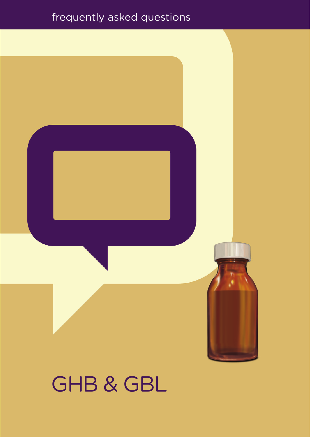#### frequently asked questions



# GHB & GBL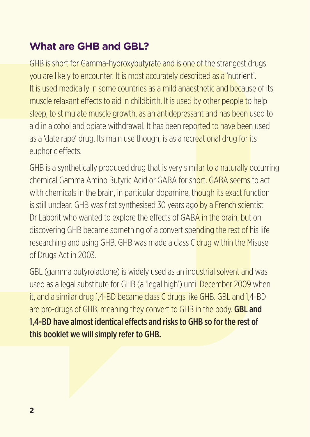### **What are GHB and GBL?**

GHB is short for Gamma-hydroxybutyrate and is one of the strangest drugs you are likely to encounter. It is most accurately described as a 'nutrient'. It is used medically in some countries as a mild anaesthetic and because of its muscle relaxant effects to aid in childbirth. It is used by other people to help sleep, to stimulate muscle growth, as an antidepressant and has been used to aid in alcohol and opiate withdrawal. It has been reported to have been used as a 'date rape' drug. Its main use though, is as a recreational drug for its euphoric effects.

GHB is a synthetically produced drug that is very similar to a naturally occurring chemical Gamma Amino Butyric Acid or GABA for short. GABA seems to act with chemicals in the brain, in particular dopamine, though its exact function is still unclear. GHB was first synthesised 30 years ago by a French scientist Dr Laborit who wanted to explore the effects of GABA in the brain, but on discovering GHB became something of a convert spending the rest of his life researching and using GHB. GHB was made a class C drug within the Misuse of Drugs Act in 2003.

GBL (gamma butyrolactone) is widely used as an industrial solvent and was used as a legal substitute for GHB (a 'legal high') until December 2009 when it, and a similar drug 1,4-BD became class C drugs like GHB. GBL and 1,4-BD are pro-drugs of GHB, meaning they convert to GHB in the body. **GBL and** 1,4-BD have almost identical effects and risks to GHB so for the rest of this booklet we will simply refer to GHB.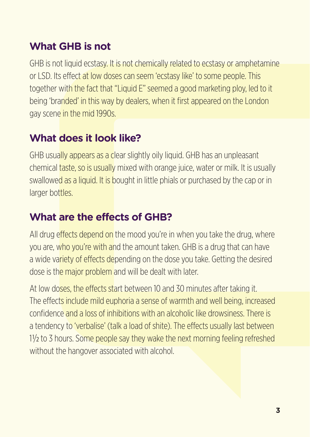### **What GHB is not**

GHB is not liquid ecstasy. It is not chemically related to ecstasy or amphetamine or LSD. Its effect at low doses can seem 'ecstasy like' to some people. This together with the fact that "Liquid E" seemed a good marketing ploy, led to it being 'branded' in this way by dealers, when it first appeared on the London gay scene in the mid 1990s.

### **What does it look like?**

GHB usually appears as a clear slightly oily liquid. GHB has an unpleasant chemical taste, so is usually mixed with orange juice, water or milk. It is usually swallowed as a liquid. It is bought in little phials or purchased by the cap or in larger bottles.

# **What are the effects of GHB?**

All drug effects depend on the mood you're in when you take the drug, where you are, who you're with and the amount taken. GHB is a drug that can have a wide variety of effects depending on the dose you take. Getting the desired dose is the major problem and will be dealt with later.

At low doses, the effects start between 10 and 30 minutes after taking it. The effects include mild euphoria a sense of warmth and well being, increased confidence and a loss of inhibitions with an alcoholic like drowsiness. There is a tendency to 'verbalise' (talk a load of shite). The effects usually last between 1/2 to 3 hours. Some people say they wake the next morning feeling refreshed without the hangover associated with alcohol.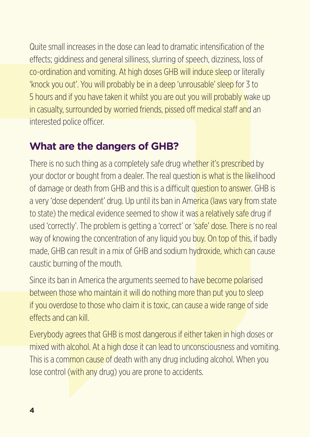Quite small increases in the dose can lead to dramatic intensification of the effects; giddiness and general silliness, slurring of speech, dizziness, loss of co-ordination and vomiting. At high doses GHB will induce sleep or literally 'knock you out'. You will probably be in a deep 'unrousable' sleep for 3 to 5 hours and if you have taken it whilst you are out you will probably wake up in casualty, surrounded by worried friends, pissed off medical staff and an interested police officer.

#### **What are the dangers of GHB?**

There is no such thing as a completely safe drug whether it's prescribed by your doctor or bought from a dealer. The real question is what is the likelihood of damage or death from GHB and this is a difficult question to answer. GHB is a very 'dose dependent' drug. Up until its ban in America (laws vary from state to state) the medical evidence seemed to show it was a relatively safe drug if used 'correctly'. The problem is getting a 'correct' or 'safe' dose. There is no real way of knowing the concentration of any liquid you buy. On top of this, if badly made, GHB can result in a mix of GHB and sodium hydroxide, which can cause caustic burning of the mouth.

Since its ban in America the arguments seemed to have become polarised between those who maintain it will do nothing more than put you to sleep if you overdose to those who claim it is toxic, can cause a wide range of side effects and can kill.

Everybody agrees that GHB is most dangerous if either taken in high doses or mixed with alcohol. At a high dose it can lead to unconsciousness and vomiting. This is a common cause of death with any drug including alcohol. When you lose control (with any drug) you are prone to accidents.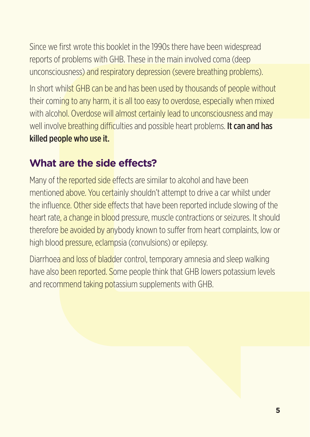Since we first wrote this booklet in the 1990s there have been widespread reports of problems with GHB. These in the main involved coma (deep unconsciousness) and respiratory depression (severe breathing problems).

In short whilst GHB can be and has been used by thousands of people without their coming to any harm, it is all too easy to overdose, especially when mixed with alcohol. Overdose will almost certainly lead to unconsciousness and may well involve breathing difficulties and possible heart problems. It can and has killed people who use it.

#### **What are the side effects?**

Many of the reported side effects are similar to alcohol and have been mentioned above. You certainly shouldn't attempt to drive a car whilst under the influence. Other side effects that have been reported include slowing of the heart rate, a change in blood pressure, muscle contractions or seizures. It should therefore be avoided by anybody known to suffer from heart complaints, low or high blood pressure, eclampsia (convulsions) or epilepsy.

Diarrhoea and loss of bladder control, temporary amnesia and sleep walking have also been reported. Some people think that GHB lowers potassium levels and recommend taking potassium supplements with GHB.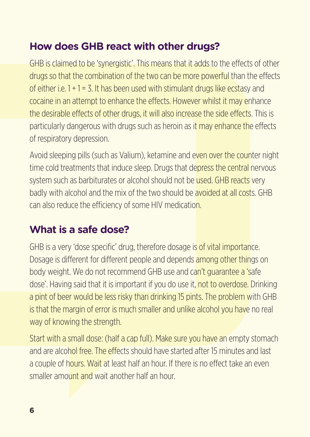### **How does GHB react with other drugs?**

GHB is claimed to be 'synergistic'. This means that it adds to the effects of other drugs so that the combination of the two can be more powerful than the effects of either i.e.  $1 + 1 = 3$ . It has been used with stimulant drugs like ecstasy and cocaine in an attempt to enhance the effects. However whilst it may enhance the desirable effects of other drugs, it will also increase the side effects. This is particularly dangerous with drugs such as heroin as it may enhance the effects of respiratory depression.

Avoid sleeping pills (such as Valium), ketamine and even over the counter night time cold treatments that induce sleep. Drugs that depress the central nervous system such as barbiturates or alcohol should not be used. GHB reacts very badly with alcohol and the mix of the two should be avoided at all costs. GHB can also reduce the efficiency of some HIV medication.

## **What is a safe dose?**

GHB is a very 'dose specific' drug, therefore dosage is of vital importance. Dosage is different for different people and depends among other things on body weight. We do not recommend GHB use and can't guarantee a 'safe dose'. Having said that it is important if you do use it, not to overdose. Drinking a pint of beer would be less risky than drinking 15 pints. The problem with GHB is that the margin of error is much smaller and unlike alcohol you have no real way of knowing the strength.

Start with a small dose: (half a cap full). Make sure you have an empty stomach and are alcohol free. The effects should have started after 15 minutes and last a couple of hours. Wait at least half an hour. If there is no effect take an even smaller amount and wait another half an hour.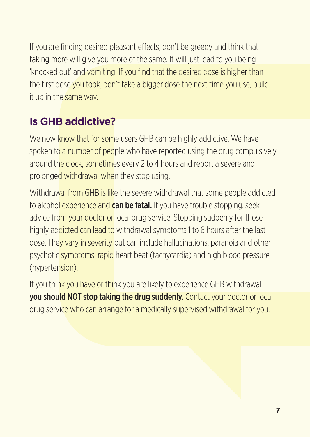If you are finding desired pleasant effects, don't be greedy and think that taking more will give you more of the same. It will just lead to you being 'knocked out' and vomiting. If you find that the desired dose is higher than the first dose you took, don't take a bigger dose the next time you use, build it up in the same way.

# **Is GHB addictive?**

We now know that for some users GHB can be highly addictive. We have spoken to a number of people who have reported using the drug compulsively around the clock, sometimes every 2 to 4 hours and report a severe and prolonged withdrawal when they stop using.

Withdrawal from GHB is like the severe withdrawal that some people addicted to alcohol experience and **can be fatal.** If you have trouble stopping, seek advice from your doctor or local drug service. Stopping suddenly for those highly addicted can lead to withdrawal symptoms 1 to 6 hours after the last dose. They vary in severity but can include hallucinations, paranoia and other psychotic symptoms, rapid heart beat (tachycardia) and high blood pressure (hypertension).

If you think you have or think you are likely to experience GHB withdrawal you should NOT stop taking the drug suddenly. Contact your doctor or local drug service who can arrange for a medically supervised withdrawal for you.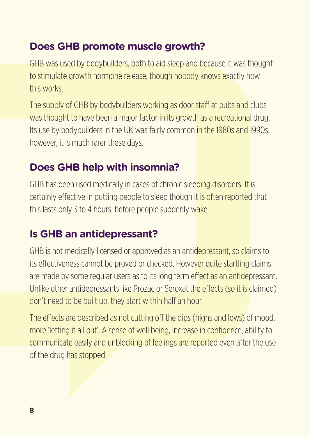#### **Does GHB promote muscle growth?**

GHB was used by bodybuilders, both to aid sleep and because it was thought to stimulate growth hormone release, though nobody knows exactly how this works.

The supply of GHB by bodybuilders working as door staff at pubs and clubs was thought to have been a major factor in its growth as a recreational drug. Its use by bodybuilders in the UK was fairly common in the 1980s and 1990s. however, it is much rarer these days.

#### **Does GHB help with insomnia?**

GHB has been used medically in cases of chronic sleeping disorders. It is certainly effective in putting people to sleep though it is often reported that this lasts only 3 to 4 hours, before people suddenly wake.

### **Is GHB an antidepressant?**

GHB is not medically licensed or approved as an antidepressant, so claims to its effectiveness cannot be proved or checked. However quite startling claims are made by some regular users as to its long term effect as an antidepressant. Unlike other antidepressants like Prozac or Seroxat the effects (so it is claimed) don't need to be built up, they start within half an hour.

The effects are described as not cutting off the dips (highs and lows) of mood, more 'letting it all out'. A sense of well being, increase in confidence, ability to communicate easily and unblocking of feelings are reported even after the use of the drug has stopped.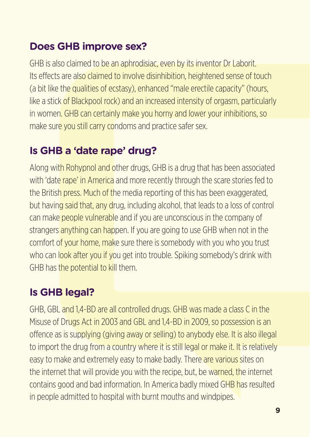### **Does GHB improve sex?**

GHB is also claimed to be an aphrodisiac, even by its inventor Dr Laborit. Its effects are also claimed to involve disinhibition, heightened sense of touch (a bit like the qualities of ecstasy), enhanced "male erectile capacity" (hours, like a stick of Blackpool rock) and an increased intensity of orgasm, particularly in women. GHB can certainly make you horny and lower your inhibitions, so make sure you still carry condoms and practice safer sex.

#### **Is GHB a 'date rape' drug?**

Along with Rohypnol and other drugs, GHB is a drug that has been associated with 'date rape' in America and more recently through the scare stories fed to the British press. Much of the media reporting of this has been exaggerated, but having said that, any drug, including alcohol, that leads to a loss of control can make people vulnerable and if you are unconscious in the company of strangers anything can happen. If you are going to use GHB when not in the comfort of your home, make sure there is somebody with you who you trust who can look after you if you get into trouble. Spiking somebody's drink with GHB has the potential to kill them.

### **Is GHB legal?**

GHB, GBL and 1,4-BD are all controlled drugs. GHB was made a class C in the Misuse of Drugs Act in 2003 and GBL and 1,4-BD in 2009, so possession is an offence as is supplying (giving away or selling) to anybody else. It is also illegal to import the drug from a country where it is still legal or make it. It is relatively easy to make and extremely easy to make badly. There are various sites on the internet that will provide you with the recipe, but, be warned, the internet contains good and bad information. In America badly mixed GHB has resulted in people admitted to hospital with burnt mouths and windpipes.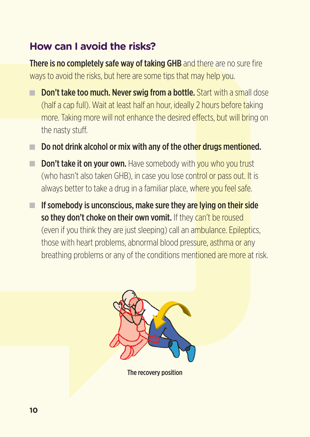#### **How can I avoid the risks?**

There is no completely safe way of taking GHB and there are no sure fire ways to avoid the risks, but here are some tips that may help you.

- **Don't take too much. Never swig from a bottle.** Start with a small dose (half a cap full). Wait at least half an hour, ideally 2 hours before taking more. Taking more will not enhance the desired effects, but will bring on the nasty stuff.
- $\blacksquare$  Do not drink alcohol or mix with any of the other drugs mentioned.
- $\blacksquare$  Don't take it on your own. Have somebody with you who you trust (who hasn't also taken GHB), in case you lose control or pass out. It is always better to take a drug in a familiar place, where you feel safe.
- $\blacksquare$  If somebody is unconscious, make sure they are lying on their side so they don't choke on their own vomit. If they can't be roused (even if you think they are just sleeping) call an ambulance. Epileptics, those with heart problems, abnormal blood pressure, asthma or any breathing problems or any of the conditions mentioned are more at risk.



The recovery position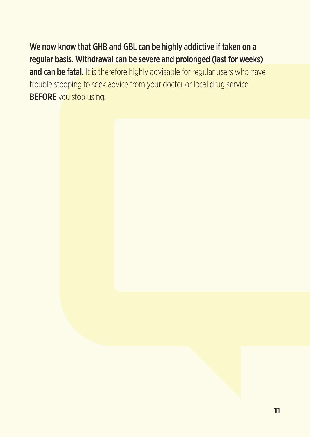We now know that GHB and GBL can be highly addictive if taken on a regular basis. Withdrawal can be severe and prolonged (last for weeks) and can be fatal. It is therefore highly advisable for regular users who have trouble stopping to seek advice from your doctor or local drug service **BEFORE** you stop using.